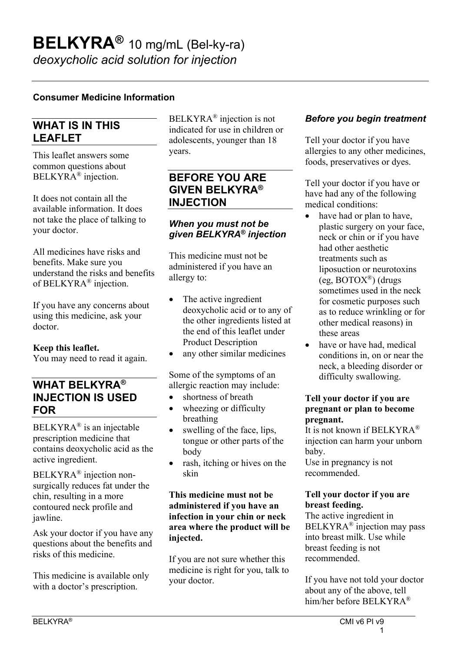### **Consumer Medicine Information**

## **WHAT IS IN THIS LEAFLET**

This leaflet answers some common questions about BELKYRA® injection.

It does not contain all the available information. It does not take the place of talking to your doctor.

All medicines have risks and benefits. Make sure you understand the risks and benefits of BELKYRA® injection.

If you have any concerns about using this medicine, ask your doctor.

**Keep this leaflet.**

You may need to read it again.

## **WHAT BELKYRA® INJECTION IS USED FOR**

 $BELKYRA^{\circledR}$  is an injectable prescription medicine that contains deoxycholic acid as the active ingredient.

BELKYRA® injection nonsurgically reduces fat under the chin, resulting in a more contoured neck profile and jawline.

Ask your doctor if you have any questions about the benefits and risks of this medicine.

This medicine is available only with a doctor's prescription.

BELKYRA® injection is not indicated for use in children or adolescents, younger than 18 years.

# **BEFORE YOU ARE GIVEN BELKYRA® INJECTION**

#### *When you must not be given BELKYRA® injection*

This medicine must not be administered if you have an allergy to:

- The active ingredient deoxycholic acid or to any of the other ingredients listed at the end of this leaflet under Product Description
- any other similar medicines

Some of the symptoms of an allergic reaction may include:

- shortness of breath
- wheezing or difficulty breathing
- swelling of the face, lips, tongue or other parts of the body
- rash, itching or hives on the skin

#### **This medicine must not be administered if you have an infection in your chin or neck area where the product will be injected.**

If you are not sure whether this medicine is right for you, talk to your doctor.

### *Before you begin treatment*

Tell your doctor if you have allergies to any other medicines, foods, preservatives or dyes.

Tell your doctor if you have or have had any of the following medical conditions:

- have had or plan to have, plastic surgery on your face, neck or chin or if you have had other aesthetic treatments such as liposuction or neurotoxins (eg,  $\text{BOTOX}^{\circledR}$ ) (drugs sometimes used in the neck for cosmetic purposes such as to reduce wrinkling or for other medical reasons) in these areas
- have or have had, medical conditions in, on or near the neck, a bleeding disorder or difficulty swallowing.

#### **Tell your doctor if you are pregnant or plan to become pregnant.**

It is not known if BELKYRA® injection can harm your unborn baby. Use in pregnancy is not recommended.

### **Tell your doctor if you are breast feeding.**

The active ingredient in BELKYRA® injection may pass into breast milk. Use while breast feeding is not recommended.

If you have not told your doctor about any of the above, tell him/her before BELKYRA®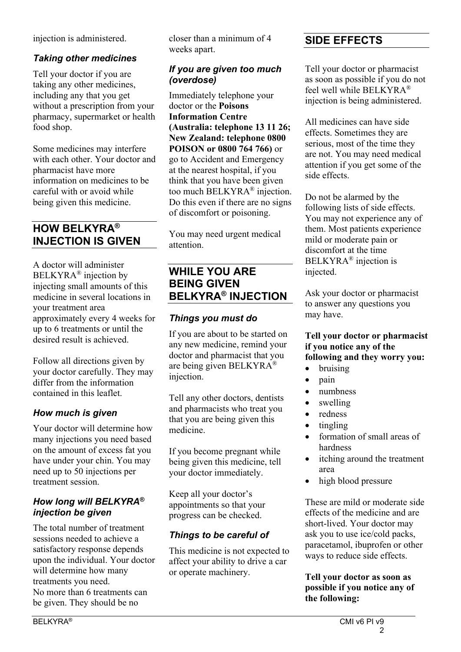injection is administered.

## *Taking other medicines*

Tell your doctor if you are taking any other medicines, including any that you get without a prescription from your pharmacy, supermarket or health food shop.

Some medicines may interfere with each other. Your doctor and pharmacist have more information on medicines to be careful with or avoid while being given this medicine.

# **HOW BELKYRA® INJECTION IS GIVEN**

A doctor will administer BELKYRA® injection by injecting small amounts of this medicine in several locations in your treatment area approximately every 4 weeks for up to 6 treatments or until the desired result is achieved.

Follow all directions given by your doctor carefully. They may differ from the information contained in this leaflet.

## *How much is given*

Your doctor will determine how many injections you need based on the amount of excess fat you have under your chin. You may need up to 50 injections per treatment session.

### *How long will BELKYRA® injection be given*

The total number of treatment sessions needed to achieve a satisfactory response depends upon the individual. Your doctor will determine how many treatments you need. No more than 6 treatments can be given. They should be no

closer than a minimum of 4 weeks apart.

## *If you are given too much (overdose)*

Immediately telephone your doctor or the **Poisons Information Centre (Australia: telephone 13 11 26; New Zealand: telephone 0800 POISON or 0800 764 766)** or go to Accident and Emergency at the nearest hospital, if you think that you have been given too much BELKYRA® injection. Do this even if there are no signs of discomfort or poisoning.

You may need urgent medical attention.

## **WHILE YOU ARE BEING GIVEN BELKYRA® INJECTION**

## *Things you must do*

If you are about to be started on any new medicine, remind your doctor and pharmacist that you are being given BELKYRA® injection.

Tell any other doctors, dentists and pharmacists who treat you that you are being given this medicine.

If you become pregnant while being given this medicine, tell your doctor immediately.

Keep all your doctor's appointments so that your progress can be checked.

## *Things to be careful of*

This medicine is not expected to affect your ability to drive a car or operate machinery.

# **SIDE EFFECTS**

Tell your doctor or pharmacist as soon as possible if you do not feel well while BELKYRA® injection is being administered.

All medicines can have side effects. Sometimes they are serious, most of the time they are not. You may need medical attention if you get some of the side effects.

Do not be alarmed by the following lists of side effects. You may not experience any of them. Most patients experience mild or moderate pain or discomfort at the time BELKYRA® injection is injected.

Ask your doctor or pharmacist to answer any questions you may have.

### **Tell your doctor or pharmacist if you notice any of the following and they worry you:**

- bruising
- pain
- numbness
- swelling
- redness
- tingling
- formation of small areas of hardness
- itching around the treatment area
- high blood pressure

These are mild or moderate side effects of the medicine and are short-lived. Your doctor may ask you to use ice/cold packs, paracetamol, ibuprofen or other ways to reduce side effects.

### **Tell your doctor as soon as possible if you notice any of the following:**